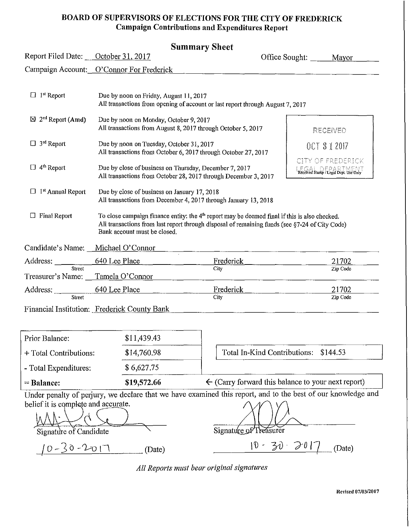#### **BOARD OF SUPERVISORS OF ELECTIONS FOR THE CITY OF FREDERICK Campaign Contributions and Expenditures Report**

| Report Filed Date: October 31, 2017                                                                                       |                                                                                                                                    |                                                                                                                                                                                                                                                                                                                                                                                                    | Mayor                                                                                                                                                                                                                                                                                                 |
|---------------------------------------------------------------------------------------------------------------------------|------------------------------------------------------------------------------------------------------------------------------------|----------------------------------------------------------------------------------------------------------------------------------------------------------------------------------------------------------------------------------------------------------------------------------------------------------------------------------------------------------------------------------------------------|-------------------------------------------------------------------------------------------------------------------------------------------------------------------------------------------------------------------------------------------------------------------------------------------------------|
| Campaign Account: O'Connor For Frederick                                                                                  |                                                                                                                                    |                                                                                                                                                                                                                                                                                                                                                                                                    |                                                                                                                                                                                                                                                                                                       |
|                                                                                                                           |                                                                                                                                    |                                                                                                                                                                                                                                                                                                                                                                                                    |                                                                                                                                                                                                                                                                                                       |
|                                                                                                                           |                                                                                                                                    |                                                                                                                                                                                                                                                                                                                                                                                                    | RECENED                                                                                                                                                                                                                                                                                               |
|                                                                                                                           |                                                                                                                                    |                                                                                                                                                                                                                                                                                                                                                                                                    | OCT 312017                                                                                                                                                                                                                                                                                            |
| Due by close of business on Thursday, December 7, 2017<br>All transactions from October 28, 2017 through December 3, 2017 |                                                                                                                                    |                                                                                                                                                                                                                                                                                                                                                                                                    | CITY OF FREDERICK<br>$E(G)$ be $E(A)$ and $E(A)$ if $E(A)$                                                                                                                                                                                                                                            |
|                                                                                                                           |                                                                                                                                    |                                                                                                                                                                                                                                                                                                                                                                                                    |                                                                                                                                                                                                                                                                                                       |
| Bank account must be closed.                                                                                              |                                                                                                                                    |                                                                                                                                                                                                                                                                                                                                                                                                    |                                                                                                                                                                                                                                                                                                       |
| Candidate's Name: Michael O'Connor                                                                                        |                                                                                                                                    |                                                                                                                                                                                                                                                                                                                                                                                                    |                                                                                                                                                                                                                                                                                                       |
| 640 Lee Place                                                                                                             | <b>Frederick</b>                                                                                                                   |                                                                                                                                                                                                                                                                                                                                                                                                    | 21702                                                                                                                                                                                                                                                                                                 |
| Tamela O'Connor                                                                                                           | City                                                                                                                               |                                                                                                                                                                                                                                                                                                                                                                                                    | Zip Code                                                                                                                                                                                                                                                                                              |
| 640 Lee Place<br>Address:                                                                                                 | Frederick                                                                                                                          |                                                                                                                                                                                                                                                                                                                                                                                                    | 21702                                                                                                                                                                                                                                                                                                 |
|                                                                                                                           | City                                                                                                                               |                                                                                                                                                                                                                                                                                                                                                                                                    | Zip Code                                                                                                                                                                                                                                                                                              |
|                                                                                                                           | $\mathbf{P}^t$ and $\mathbf{P}^t$ is the set of the set of $\mathbf{P}^t$ and $\mathbf{P}^t$ and $\mathbf{P}^t$ and $\mathbf{P}^t$ | эшшшагу энеет<br>Due by noon on Friday, August 11, 2017<br>Due by noon on Monday, October 9, 2017<br>All transactions from August 8, 2017 through October 5, 2017<br>Due by noon on Tuesday, October 31, 2017<br>All transactions from October 6, 2017 through October 27, 2017<br>Due by close of business on January 17, 2018<br>All transactions from December 4, 2017 through January 13, 2018 | Office Sought:<br>All transactions from opening of account or last report through August 7, 2017<br>To close campaign finance entity: the $4th$ report may be deemed final if this is also checked.<br>All transactions from last report through disposal of remaining funds (see §7-24 of City Code) |

Financial Institution: Frederick County Bank

| $=$ Balance:           | \$19,572.66 | $\leftarrow$ (Carry forward this balance to your next report) |
|------------------------|-------------|---------------------------------------------------------------|
| - Total Expenditures:  | \$6,627.75  |                                                               |
| + Total Contributions: | \$14,760.98 | Total In-Kind Contributions: \$144.53                         |
| Prior Balance:         | \$11,439.43 |                                                               |

Under penalty of perjury, we declare that we have examined this report, and to the best of our knowledge and = Balance:  $$19,572.66$   $\leftarrow$  (Carry forward this balance to your next if<br>Under penalty of perjury, we declare that we have examined this report, and to the best of our know<br>belief it is complete and accurate.

| Signature of Candidate | Signature of Treasurer |
|------------------------|------------------------|
| $10 - 60 - 2717$       | $10 - 30 - 201$        |
| (Date)                 | (Date)                 |

*All Reports /Ilust bear original signatures* 

J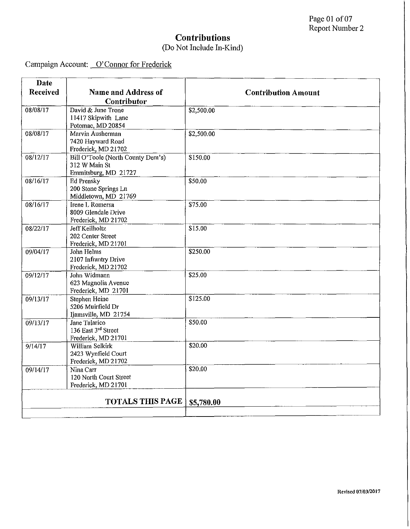| <b>Date</b>           |                                                                            |                            |
|-----------------------|----------------------------------------------------------------------------|----------------------------|
| <b>Received</b>       | <b>Name and Address of</b><br>Contributor                                  | <b>Contribution Amount</b> |
| 08/08/17              | David & June Trone<br>11417 Skipwith Lane<br>Potomac, MD 20854             | \$2,500.00                 |
| 08/08/17              | Marvin Ausherman<br>7420 Hayward Road<br>Frederick, MD 21702               | \$2,500.00                 |
| 08/12/17              | Bill O'Toole (North County Dem's)<br>312 W Main St<br>Emmitsburg, MD 21727 | \$150.00                   |
| $08/16/\overline{17}$ | <b>Ed Prensky</b><br>200 Stone Springs Ln<br>Middletown, MD 21769          | \$50.00                    |
| 08/16/17              | Irene L Romersa<br>8009 Glendale Drive<br>Frederick, MD 21702              | \$75.00                    |
| 08/22/17              | Jeff Keilholtz<br>202 Center Street<br>Frederick, MD 21701                 | \$15.00                    |
| 09/04/17              | John Helms<br>2107 Infrantry Drive<br>Frederick, MD 21702                  | \$250.00                   |
| 09/12/17              | John Widmann<br>623 Magnolia Avenue<br>Frederick, MD 21701                 | \$25.00                    |
| 09/13/17              | Stephen Heine<br>5206 Muirfield Dr<br>Ijamsville, MD 21754                 | \$125.00                   |
| 09/13/17              | Jane Talarico<br>136 East 3rd Street<br>Frederick, MD 21701                | \$50.00                    |
| 9/14/17               | William Selkirk<br>2423 Wynfield Court<br>Frederick, MD 21702              | \$20.00                    |
| 09/14/17              | Nina Carr<br>120 North Court Street<br>Frederick, MD 21701                 | \$20.00                    |
|                       | <b>TOTALS THIS PAGE</b>                                                    | \$5,780.00                 |
|                       |                                                                            |                            |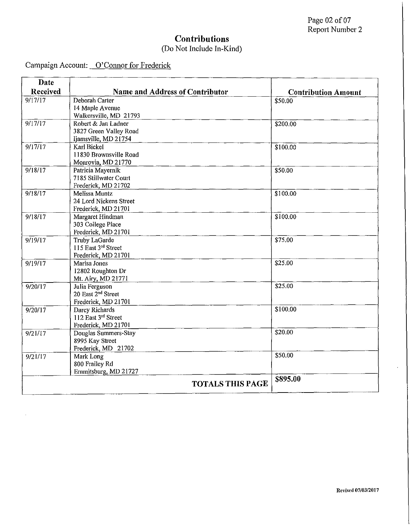Campaign Account: O'Connor for Frederick

÷,

| Date     |                                         |                            |
|----------|-----------------------------------------|----------------------------|
| Received | <b>Name and Address of Contributor</b>  | <b>Contribution Amount</b> |
| 9/17/17  | Deborah Carter                          | \$50.00                    |
|          | 14 Maple Avenue                         |                            |
|          | Walkersville, MD 21793                  |                            |
| 9/17/17  | Robert & Jan Ladner                     | \$200.00                   |
|          | 3827 Green Valley Road                  |                            |
|          | Ijamsville, MD 21754                    |                            |
| 9/17/17  | <b>Karl Bickel</b>                      | \$100.00                   |
|          | 11830 Brownsville Road                  |                            |
|          | Monrovia, MD 21770                      |                            |
| 9/18/17  | Patricia Mayernik                       | \$50.00                    |
|          | 7185 Stillwater Court                   |                            |
|          | Frederick, MD 21702                     |                            |
| 9/18/17  | Melissa Muntz<br>24 Lord Nickens Street | \$100.00                   |
|          | Frederick, MD 21701                     |                            |
| 9/18/17  | Margaret Hindman                        | \$100.00                   |
|          | 303 College Place                       |                            |
|          | Frederick, MD 21701                     |                            |
| 9/19/17  | Truby LaGarde                           | \$75.00                    |
|          | 115 East 3rd Street                     |                            |
|          | Frederick, MD 21701                     |                            |
| 9/19/17  | Marisa Jones                            | \$25.00                    |
|          | 12802 Roughton Dr                       |                            |
|          | Mt. Airy, MD 21771                      |                            |
| 9/20/17  | Julia Ferguson                          | \$25.00                    |
|          | 20 East 2 <sup>nd</sup> Street          |                            |
|          | Frederick, MD 21701                     |                            |
| 9/20/17  | Darcy Richards                          | \$100.00                   |
|          | 112 East 3rd Street                     |                            |
|          | Frederick, MD 21701                     |                            |
| 9/21/17  | Douglas Summers-Stay                    | \$20.00                    |
|          | 8995 Kay Street                         |                            |
|          | Frederick, MD 21702                     |                            |
| 9/21/17  | Mark Long                               | 550.00                     |
|          | 800 Frailey Rd                          |                            |
|          | Emmitsburg, MD 21727                    |                            |
|          | <b>TOTALS THIS PAGE</b>                 | \$895.00                   |

 $\lambda$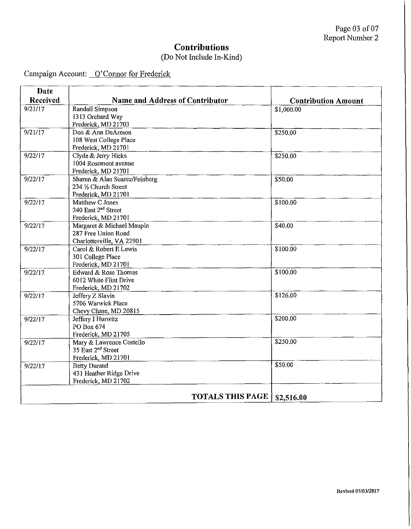## **Contributions**

### (Do Not Include In-Kind)

| <b>Date</b> |                                        |                            |
|-------------|----------------------------------------|----------------------------|
| Received    | <b>Name and Address of Contributor</b> | <b>Contribution Amount</b> |
| 9/21/17     | <b>Randall Simpson</b>                 | \$1,000.00                 |
|             | 1313 Orchard Way                       |                            |
|             | Frederick, MD 21703                    |                            |
| 9/21/17     | Don & Ann DeArmon                      | \$250.00                   |
|             | 108 West College Place                 |                            |
|             | Frederick, MD 21701                    |                            |
| 9/22/17     | Clyde & Jerry Hicks                    | \$250.00                   |
|             | 1004 Rosemont avenue                   |                            |
|             | Frederick, MD 21701                    |                            |
| 9/22/17     | Sharon & Alan Suarez/Feinberg          | \$50.00                    |
|             | 234 1/2 Church Street                  |                            |
|             | Frederick, MD 21701                    |                            |
| 9/22/17     | Matthew C Jones                        | \$100.00                   |
|             | 240 East 2 <sup>nd</sup> Street        |                            |
|             | Frederick, MD 21701                    |                            |
| 9/22/17     | Margaret & Michael Maupin              | \$40.00                    |
|             | 287 Free Union Road                    |                            |
|             | Charlottesville, VA 22901<br>$\Delta$  |                            |
| 9/22/17     | Carol & Robert E Lewis                 | \$100.00                   |
|             | 301 College Place                      |                            |
|             | Frederick, MD 21701                    |                            |
| 9/22/17     | Edward & Rose Thomas                   | \$100.00                   |
|             | 6012 White Flint Drive                 |                            |
|             | Frederick, MD 21702                    |                            |
| 9/22/17     | Jeffery Z Slavin                       | \$126.00                   |
|             | 5706 Warwick Place                     |                            |
|             | Chevy Chase, MD 20815                  |                            |
| 9/22/17     | Jeffery I Hurwitz                      | \$200.00                   |
|             | PO Box 674                             |                            |
|             | Frederick, MD 21705                    |                            |
| 9/22/17     | Mary & Lawrence Costello               | \$250.00                   |
|             | 35 East 2 <sup>nd</sup> Street         |                            |
|             | Frederick, MD 21701                    |                            |
| 9/22/17     | <b>Betty Durand</b>                    | \$50.00                    |
|             | 431 Heather Ridge Drive                |                            |
|             | Frederick, MD 21702                    |                            |
|             | <b>TOTALS THIS PAGE</b>                |                            |
|             |                                        | \$2,516.00                 |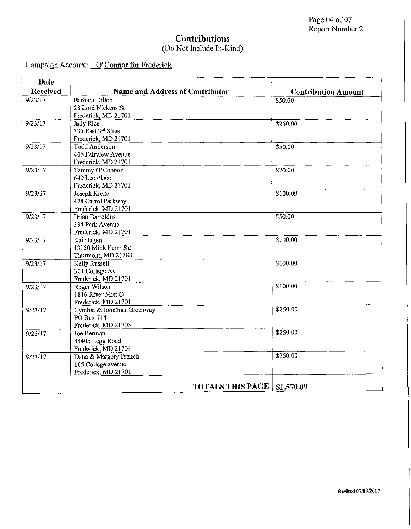| Date     |                                        |                            |
|----------|----------------------------------------|----------------------------|
| Received | <b>Name and Address of Contributor</b> | <b>Contribution Amount</b> |
| 9/23/17  | Barbara Dillon                         | \$50.00                    |
|          | 28 Lord Nickens St                     |                            |
|          | Frederick, MD 21701                    |                            |
| 9/23/17  | <b>Judy Rice</b>                       | \$250.00                   |
|          | 335 East 3rd Street                    |                            |
|          | Frederick, MD 21701                    |                            |
| 9/23/17  | <b>Todd Anderson</b>                   | \$50.00                    |
|          | 406 Fairview Avenue                    |                            |
|          | Frederick, MD 21701                    |                            |
| 9/23/17  | Tammy O'Connor                         | \$20.00                    |
|          | 640 Lee Place                          |                            |
|          | Frederick, MD 21701                    |                            |
| 9/23/17  | Joseph Kreke                           | \$100.09                   |
|          | 428 Carrol Parkway                     |                            |
|          | Frederick, MD 21701                    |                            |
| 9/23/17  | <b>Brian Bartoldus</b>                 | \$50.00                    |
|          | 334 Park Avenue                        |                            |
|          | Frederick, MD 21701                    |                            |
| 9/23/17  | Kai Hagen                              | \$100.00                   |
|          | 13150 Mink Farm Rd                     |                            |
|          | Thurmont, MD 21788                     |                            |
| 9/23/17  | Kelly Russell                          | \$100.00                   |
|          | 301 College Av                         |                            |
|          | Frederick, MD 21701                    |                            |
| 9/23/17  | Roger Wilson                           | \$100.00                   |
|          | 1816 River Mist Ct                     |                            |
|          | Frederick, MD 21701                    |                            |
| 9/23/17  | Cynthia & Jonathan Greenway            | \$250.00                   |
|          | PO Box 714                             |                            |
|          | Frederick, MD 21705                    | \$250.00                   |
| 9/23/17  | Joe Berman                             |                            |
|          | 84405 Legg Road                        |                            |
|          | Frederick, MD 21704                    | \$250.00                   |
| 9/23/17  | Dana & Margery French                  |                            |
|          | 105 College avenue                     |                            |
|          | Frederick, MD 21701                    |                            |
|          | <b>TOTALS THIS PAGE</b>                | \$1,570.09                 |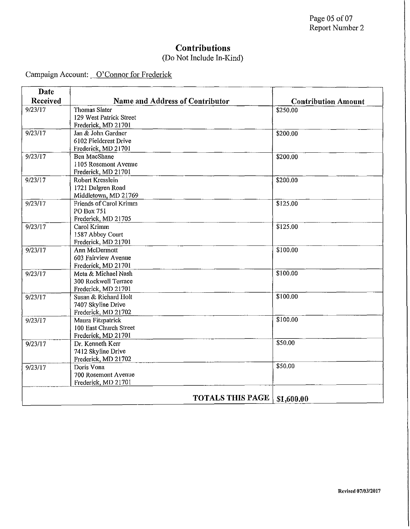### **Contributions**

### (Do Not Include In-Kind)

| Date     |                                        |                            |
|----------|----------------------------------------|----------------------------|
| Received | <b>Name and Address of Contributor</b> | <b>Contribution Amount</b> |
| 9/23/17  | <b>Thomas Slater</b>                   | \$250.00                   |
|          | 129 West Patrick Street                |                            |
|          | Frederick, MD 21701                    |                            |
| 9/23/17  | Jan & John Gardner                     | \$200.00                   |
|          | 6102 Fieldcrest Drive                  |                            |
|          | Frederick, MD 21701                    |                            |
| 9/23/17  | <b>Ben MacShane</b>                    | \$200.00                   |
|          | 1105 Rosemont Avenue                   |                            |
|          | Frederick, MD 21701                    |                            |
| 9/23/17  | Robert Kresslein                       | \$200.00                   |
|          | 1721 Dalgren Road                      |                            |
|          | Middletown, MD 21769                   |                            |
| 9/23/17  | Friends of Carol Krimm                 | \$125.00                   |
|          | PO Box 751                             |                            |
|          | Frederick, MD 21705                    |                            |
| 9/23/17  | Carol Krimm                            | \$125.00                   |
|          | 1587 Abbey Court                       |                            |
| 9/23/17  | Frederick, MD 21701<br>Ann McDermott   | \$100.00                   |
|          | 603 Fairview Avenue                    |                            |
|          | Frederick, MD 21701                    |                            |
| 9/23/17  | Meta & Michael Nash                    | \$100.00                   |
|          | 300 Rockwell Terrace                   |                            |
|          | Frederick, MD 21701                    |                            |
| 9/23/17  | Susan & Richard Holt                   | \$100.00                   |
|          | 7407 Skyline Drive                     |                            |
|          | Frederick, MD 21702                    |                            |
| 9/23/17  | Maura Fitzpatrick                      | \$100.00                   |
|          | 100 East Church Street                 |                            |
|          | Frederick, MD 21701                    |                            |
| 9/23/17  | Dr. Kenneth Kerr                       | \$50.00                    |
|          | 7412 Skyline Drive                     |                            |
|          | Frederick, MD 21702                    |                            |
| 9/23/17  | Doris Vona                             | \$50.00                    |
|          | 700 Rosemont Avenue                    |                            |
|          | Frederick, MD 21701                    |                            |
|          |                                        |                            |
|          | <b>TOTALS THIS PAGE</b>                | \$1,600.00                 |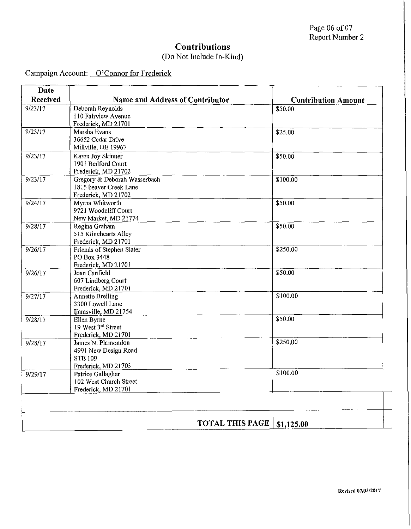### **Contributions**

### (Do Not Include In-Kind)

| Date     |                                                  |                            |
|----------|--------------------------------------------------|----------------------------|
| Received | <b>Name and Address of Contributor</b>           | <b>Contribution Amount</b> |
| 9/23/17  | Deborah Reynolds<br>110 Fairview Avenue          | \$50.00                    |
|          | Frederick, MD 21701                              |                            |
| 9/23/17  | Marsha Evans                                     | \$25.00                    |
|          | 36652 Cedar Drive                                |                            |
|          | Millville, DE 19967                              |                            |
| 9/23/17  | Karen Joy Skinner<br>1901 Bedford Court          | \$50.00                    |
|          | Frederick, MD 21702                              |                            |
| 9/23/17  | Gregory & Deborah Wasserbach                     | \$100.00                   |
|          | 1815 beaver Creek Lane                           |                            |
|          | Frederick, MD 21702                              |                            |
| 9/24/17  | Myrna Whitworth                                  | \$50.00                    |
|          | 9721 Woodcliff Court                             |                            |
|          | New Market, MD 21774                             |                            |
| 9/28/17  | Regina Graham                                    | \$50.00                    |
|          | 515 Klinehearts Alley                            |                            |
| 9/26/17  | Frederick, MD 21701<br>Friends of Stephen Slater | \$250.00                   |
|          | PO Box 3448                                      |                            |
|          | Frederick, MD 21701                              |                            |
| 9/26/17  | Joan Canfield                                    | \$50.00                    |
|          | 607 Lindberg Court                               |                            |
|          | Frederick, MD 21701                              |                            |
| 9/27/17  | <b>Annette Breiling</b>                          | \$100.00                   |
|          | 3300 Lowell Lane                                 |                            |
|          | Ijamsville, MD 21754                             | \$50.00                    |
| 9/28/17  | Ellen Byrne<br>19 West 3rd Street                |                            |
|          | Frederick, MD 21701                              |                            |
| 9/28/17  | James N. Plamondon                               | \$250.00                   |
|          | 4991 New Design Road                             |                            |
|          | <b>STE 109</b>                                   |                            |
|          | Frederick, MD 21703                              |                            |
| 9/29/17  | Patrice Gallagher                                | \$100.00                   |
|          | 102 West Church Street                           |                            |
|          | Frederick, MD 21701                              |                            |
|          |                                                  |                            |
|          | <b>TOTAL THIS PAGE</b>                           | \$1,125.00                 |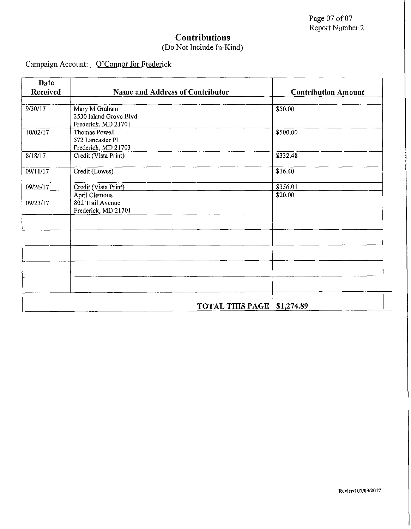| Date            |                                             |                                      |
|-----------------|---------------------------------------------|--------------------------------------|
| <b>Received</b> | <b>Name and Address of Contributor</b>      | <b>Contribution Amount</b>           |
| 9/30/17         | Mary M Graham                               | \$50.00                              |
|                 | 2530 Island Grove Blvd                      |                                      |
|                 | Frederick, MD 21701                         |                                      |
| 10/02/17        | Thomas Powell                               | \$500.00                             |
|                 | 572 Lancaster Pl                            |                                      |
| 8/18/17         | Frederick, MD 21703<br>Credit (Vista Print) | \$332.48                             |
|                 |                                             |                                      |
| 09/11/17        | Credit (Lowes)                              | \$16.40                              |
| 09/26/17        | Credit (Vista Print)                        | \$356.01                             |
|                 | April Clemons                               | \$20.00                              |
| 09/23/17        | 802 Trail Avenue                            |                                      |
|                 | Frederick, MD 21701                         |                                      |
|                 |                                             |                                      |
|                 |                                             |                                      |
|                 |                                             |                                      |
|                 |                                             |                                      |
|                 |                                             |                                      |
|                 |                                             |                                      |
|                 |                                             |                                      |
|                 |                                             |                                      |
|                 |                                             |                                      |
|                 |                                             | <b>TOTAL THIS PAGE</b><br>\$1,274.89 |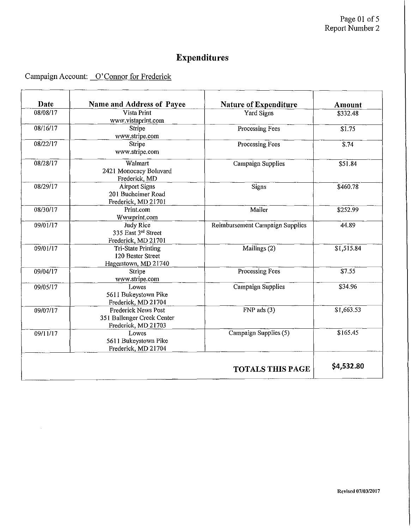| Date     | Name and Address of Payee                                                | <b>Nature of Expenditure</b>    | Amount                 |
|----------|--------------------------------------------------------------------------|---------------------------------|------------------------|
| 08/08/17 | Vista Print<br>www.vistaprint.com                                        | Yard Signs                      | \$332.48               |
| 08/16/17 | Stripe<br>www.stripe.com                                                 | Processing Fees                 | \$1.75                 |
| 08/22/17 | Stripe<br>www.stripe.com                                                 | Processing Fees                 | $\overline{\$.74}$     |
| 08/28/17 | Walmart<br>2421 Monocacy Boluvard<br>Frederick, MD                       | Campaign Supplies               | \$51.84                |
| 08/29/17 | <b>Airport Signs</b><br>201 Bucheimer Road<br>Frederick, MD 21701        | Signs                           | \$460.78               |
| 08/30/17 | Print.com<br>Wwwprint.com                                                | Mailer                          | \$252.99               |
| 09/01/17 | Judy Rice<br>335 East 3rd Street<br>Frederick, MD 21701                  | Reimbursement Campaign Supplies | 44.89                  |
| 09/01/17 | <b>Tri-State Printing</b><br>120 Bester Street<br>Hagerstown, MD 21740   | Mailings (2)                    | $\overline{$1,515.84}$ |
| 09/04/17 | Stripe<br>www.stripe.com                                                 | Processing Fees                 | \$7.55                 |
| 09/05/17 | Lowes<br>5611 Bukeystown Pike<br>Frederick, MD 21704                     | Campaign Supplies               | \$34.96                |
| 09/07/17 | Frederick News Post<br>351 Ballenger Creek Center<br>Frederick, MD 21703 | $FNP$ ads $(3)$                 | \$1,663.53             |
| 09/11/17 | Lowes<br>5611 Bukeystown Pike<br>Frederick, MD 21704                     | Campaign Supplies (5)           | \$165.45               |
|          |                                                                          | <b>TOTALS THIS PAGE</b>         | \$4,532.80             |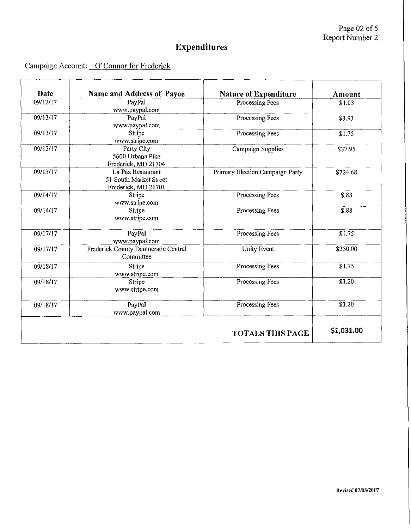Page  $02$  of 5 Report Number 2

 $\bar{\mathcal{L}}$ 

# **Expenditures**

| Date     | <b>Name and Address of Payee</b>                                   | Nature of Expenditure           | Amount       |
|----------|--------------------------------------------------------------------|---------------------------------|--------------|
| 09/12/17 | PayPal<br>www.paypal.com                                           | Processing Fees                 | \$1.03       |
| 09/13/17 | PayPal<br>www.paypal.com                                           | Processing Fees                 | \$3.93       |
| 09/13/17 | Stripe<br>www.stripe.com                                           | Processing Fees                 | \$1.75       |
| 09/13/17 | Party City<br>5600 Urbana Pike<br>Frederick, MD 21704              | Campaign Supplies               | \$37.95      |
| 09/13/17 | La Paz Restaurant<br>51 South Market Street<br>Frederick, MD 21701 | Primary Election Campaign Party | \$724.68     |
| 09/14/17 | Stripe<br>www.stripe.com                                           | <b>Processing Fees</b>          | \$.88        |
| 09/14/17 | Stripe<br>www.stripe.com                                           | Processing Fees                 | $\sqrt{$}88$ |
| 09/17/17 | PayPal<br>www.paypal.com                                           | Processing Fees                 | \$1.75       |
| 09/17/17 | Frederick County Democratic Central<br>Committee                   | <b>Unity Event</b>              | \$250.00     |
| 09/18/17 | Stripe<br>www.stripe.com                                           | Processing Fees                 | \$1.75       |
| 09/18/17 | Stripe<br>www.stripe.com                                           | Processing Fees                 | \$3.20       |
| 09/18/17 | PayPal<br>www.paypal.com                                           | Processing Fees                 | \$3.20       |
|          |                                                                    | <b>TOTALS THIS PAGE</b>         | \$1,031.00   |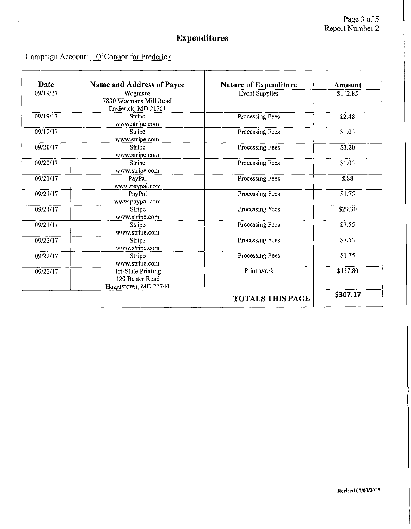### Campaign Account: O'Connor for Frederick

 $\bar{z}$ 

 $\ddot{\phantom{a}}$ 

| Date     | <b>Name and Address of Payee</b>                                     | <b>Nature of Expenditure</b> | <b>Amount</b> |
|----------|----------------------------------------------------------------------|------------------------------|---------------|
| 09/19/17 | Wegmans<br>7830 Wormans Mill Road<br>Frederick, MD 21701             | <b>Event Supplies</b>        | \$112.85      |
| 09/19/17 | Stripe<br>www.stripe.com                                             | Processing Fees              | \$2.48        |
| 09/19/17 | Stripe<br>www.stripe.com                                             | Processing Fees              | \$1.03        |
| 09/20/17 | Stripe<br>www.stripe.com                                             | Processing Fees              | \$3.20        |
| 09/20/17 | Stripe<br>www.stripe.com                                             | Processing Fees              | \$1.03        |
| 09/21/17 | PayPal<br>www.paypal.com                                             | <b>Processing Fees</b>       | \$.88         |
| 09/21/17 | PayPal<br>www.paypal.com                                             | Processing Fees              | \$1.75        |
| 09/21/17 | <b>Stripe</b><br>www.stripe.com                                      | Processing Fees              | \$29.30       |
| 09/21/17 | Stripe<br>www.stripe.com                                             | Processing Fees              | \$7.55        |
| 09/22/17 | Stripe<br>www.stripe.com                                             | Processing Fees              | \$7.55        |
| 09/22/17 | Stripe<br>www.stripe.com                                             | Processing Fees              | \$1.75        |
| 09/22/17 | <b>Tri-State Printing</b><br>120 Bester Road<br>Hagerstown, MD 21740 | Print Work                   | \$137.80      |
|          |                                                                      | <b>TOTALS THIS PAGE</b>      | \$307.17      |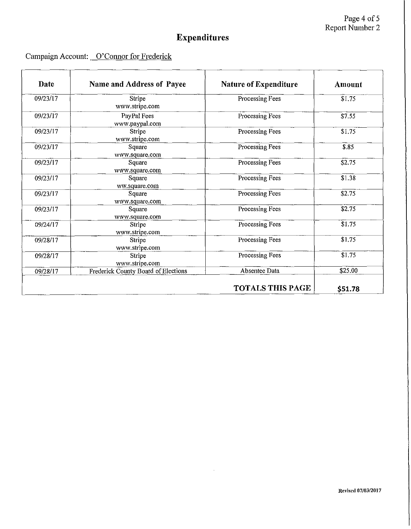| Date     | Name and Address of Payee           | <b>Nature of Expenditure</b> | Amount  |
|----------|-------------------------------------|------------------------------|---------|
| 09/23/17 | Stripe<br>www.stripe.com            | Processing Fees              | \$1.75  |
| 09/23/17 | PayPal Fees<br>www.paypal.com       | Processing Fees              | \$7.55  |
| 09/23/17 | Stripe<br>www.stripe.com            | Processing Fees              | \$1.75  |
| 09/23/17 | Square<br>www.square.com            | Processing Fees              | \$.85   |
| 09/23/17 | Square<br>www.square.com            | Processing Fees              | \$2.75  |
| 09/23/17 | Square<br>ww.square.com             | Processing Fees              | \$1.38  |
| 09/23/17 | Square<br>www.square.com            | Processing Fees              | \$2.75  |
| 09/23/17 | Square<br>www.square.com            | Processing Fees              | \$2.75  |
| 09/24/17 | Stripe<br>www.stripe.com            | Processing Fees              | \$1.75  |
| 09/28/17 | Stripe<br>www.stripe.com            | Processing Fees              | \$1.75  |
| 09/28/17 | Stripe<br>www.stripe.com            | Processing Fees              | \$1.75  |
| 09/28/17 | Frederick County Board of Elections | Absentee Data                | \$25.00 |
|          |                                     | <b>TOTALS THIS PAGE</b>      | \$51.78 |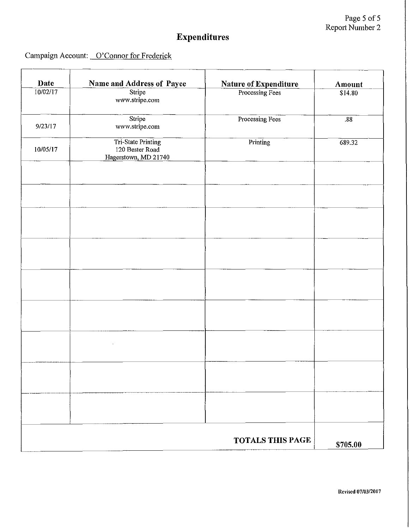| Date     | <b>Name and Address of Payee</b>                              | <b>Nature of Expenditure</b> | Amount   |
|----------|---------------------------------------------------------------|------------------------------|----------|
| 10/02/17 | Stripe<br>www.stripe.com                                      | Processing Fees              | \$14.80  |
| 9/23/17  | Stripe<br>www.stripe.com                                      | Processing Fees              | .88      |
| 10/05/17 | Tri-State Printing<br>120 Bester Road<br>Hagerstown, MD 21740 | Printing                     | 689.32   |
|          |                                                               |                              |          |
|          |                                                               |                              |          |
|          |                                                               |                              |          |
|          |                                                               |                              |          |
|          |                                                               |                              |          |
|          |                                                               |                              |          |
|          |                                                               |                              |          |
|          |                                                               |                              |          |
|          |                                                               | <b>TOTALS THIS PAGE</b>      | \$705.00 |